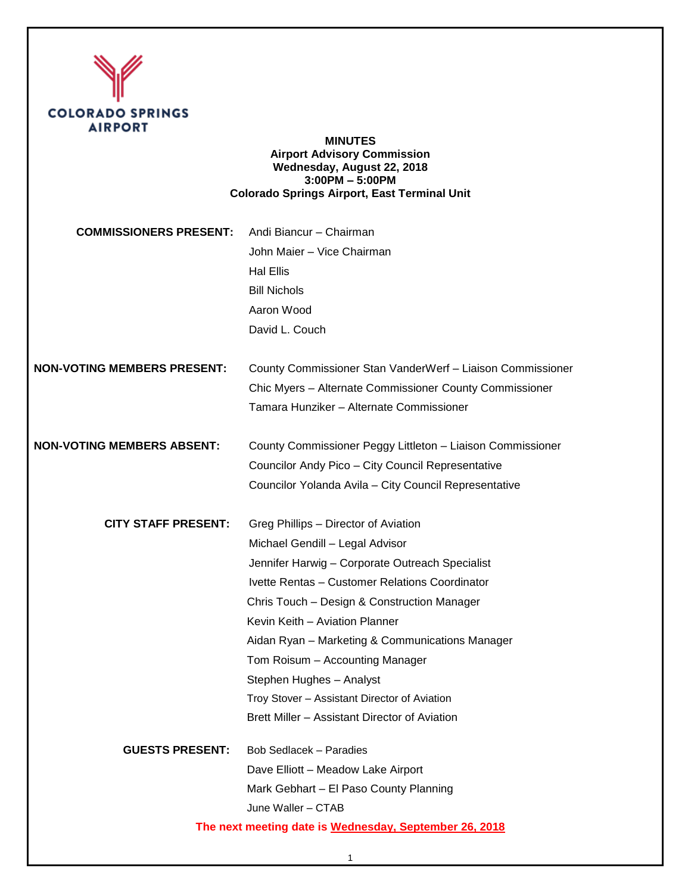

### **MINUTES Airport Advisory Commission Wednesday, August 22, 2018 3:00PM – 5:00PM Colorado Springs Airport, East Terminal Unit**

| <b>COMMISSIONERS PRESENT:</b>                          | Andi Biancur - Chairman<br>John Maier - Vice Chairman<br><b>Hal Ellis</b><br><b>Bill Nichols</b> |
|--------------------------------------------------------|--------------------------------------------------------------------------------------------------|
|                                                        | Aaron Wood                                                                                       |
|                                                        | David L. Couch                                                                                   |
| <b>NON-VOTING MEMBERS PRESENT:</b>                     | County Commissioner Stan VanderWerf - Liaison Commissioner                                       |
|                                                        | Chic Myers - Alternate Commissioner County Commissioner                                          |
|                                                        | Tamara Hunziker - Alternate Commissioner                                                         |
| <b>NON-VOTING MEMBERS ABSENT:</b>                      | County Commissioner Peggy Littleton - Liaison Commissioner                                       |
|                                                        | Councilor Andy Pico - City Council Representative                                                |
|                                                        | Councilor Yolanda Avila - City Council Representative                                            |
| <b>CITY STAFF PRESENT:</b>                             | Greg Phillips - Director of Aviation                                                             |
|                                                        | Michael Gendill - Legal Advisor                                                                  |
|                                                        | Jennifer Harwig - Corporate Outreach Specialist                                                  |
|                                                        | Ivette Rentas - Customer Relations Coordinator                                                   |
|                                                        | Chris Touch - Design & Construction Manager                                                      |
|                                                        | Kevin Keith - Aviation Planner                                                                   |
|                                                        | Aidan Ryan - Marketing & Communications Manager                                                  |
|                                                        | Tom Roisum - Accounting Manager                                                                  |
|                                                        | Stephen Hughes - Analyst                                                                         |
|                                                        | Troy Stover - Assistant Director of Aviation                                                     |
|                                                        | Brett Miller - Assistant Director of Aviation                                                    |
| <b>GUESTS PRESENT:</b>                                 | Bob Sedlacek - Paradies                                                                          |
|                                                        | Dave Elliott - Meadow Lake Airport                                                               |
|                                                        | Mark Gebhart - El Paso County Planning                                                           |
|                                                        | June Waller - CTAB                                                                               |
| The next meeting date is Wednesday, September 26, 2018 |                                                                                                  |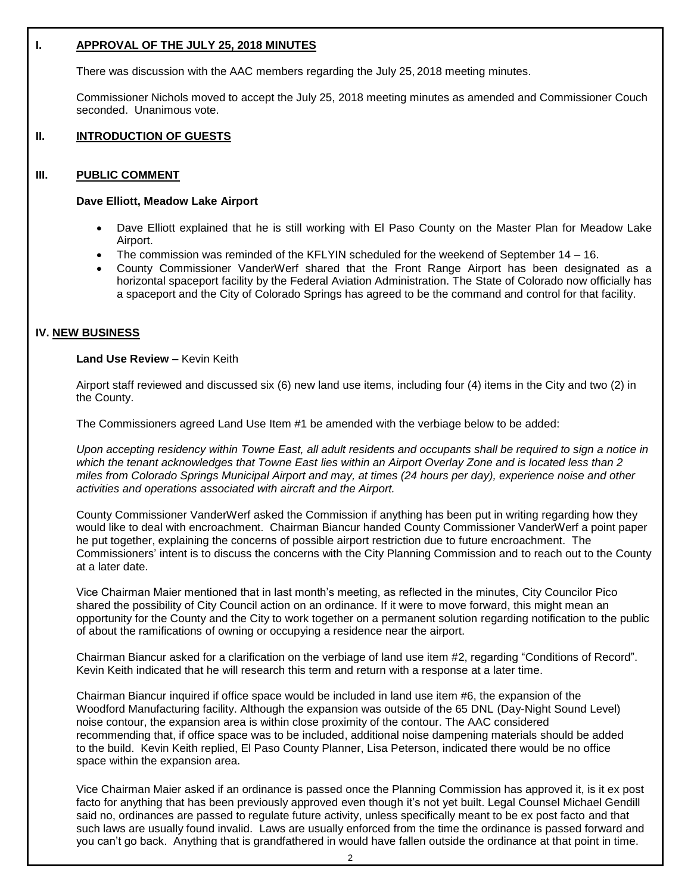### **I. APPROVAL OF THE JULY 25, 2018 MINUTES**

There was discussion with the AAC members regarding the July 25, 2018 meeting minutes.

Commissioner Nichols moved to accept the July 25, 2018 meeting minutes as amended and Commissioner Couch seconded. Unanimous vote.

# **II. INTRODUCTION OF GUESTS**

### **III. PUBLIC COMMENT**

#### **Dave Elliott, Meadow Lake Airport**

- Dave Elliott explained that he is still working with El Paso County on the Master Plan for Meadow Lake Airport.
- The commission was reminded of the KFLYIN scheduled for the weekend of September 14 16.
- County Commissioner VanderWerf shared that the Front Range Airport has been designated as a horizontal spaceport facility by the Federal Aviation Administration. The State of Colorado now officially has a spaceport and the City of Colorado Springs has agreed to be the command and control for that facility.

## **IV. NEW BUSINESS**

### **Land Use Review –** Kevin Keith

Airport staff reviewed and discussed six (6) new land use items, including four (4) items in the City and two (2) in the County.

The Commissioners agreed Land Use Item #1 be amended with the verbiage below to be added:

*Upon accepting residency within Towne East, all adult residents and occupants shall be required to sign a notice in which the tenant acknowledges that Towne East lies within an Airport Overlay Zone and is located less than 2 miles from Colorado Springs Municipal Airport and may, at times (24 hours per day), experience noise and other activities and operations associated with aircraft and the Airport.* 

County Commissioner VanderWerf asked the Commission if anything has been put in writing regarding how they would like to deal with encroachment. Chairman Biancur handed County Commissioner VanderWerf a point paper he put together, explaining the concerns of possible airport restriction due to future encroachment. The Commissioners' intent is to discuss the concerns with the City Planning Commission and to reach out to the County at a later date.

Vice Chairman Maier mentioned that in last month's meeting, as reflected in the minutes, City Councilor Pico shared the possibility of City Council action on an ordinance. If it were to move forward, this might mean an opportunity for the County and the City to work together on a permanent solution regarding notification to the public of about the ramifications of owning or occupying a residence near the airport.

Chairman Biancur asked for a clarification on the verbiage of land use item #2, regarding "Conditions of Record". Kevin Keith indicated that he will research this term and return with a response at a later time.

Chairman Biancur inquired if office space would be included in land use item #6, the expansion of the Woodford Manufacturing facility. Although the expansion was outside of the 65 DNL (Day-Night Sound Level) noise contour, the expansion area is within close proximity of the contour. The AAC considered recommending that, if office space was to be included, additional noise dampening materials should be added to the build. Kevin Keith replied, El Paso County Planner, Lisa Peterson, indicated there would be no office space within the expansion area.

Vice Chairman Maier asked if an ordinance is passed once the Planning Commission has approved it, is it ex post facto for anything that has been previously approved even though it's not yet built. Legal Counsel Michael Gendill said no, ordinances are passed to regulate future activity, unless specifically meant to be ex post facto and that such laws are usually found invalid. Laws are usually enforced from the time the ordinance is passed forward and you can't go back. Anything that is grandfathered in would have fallen outside the ordinance at that point in time.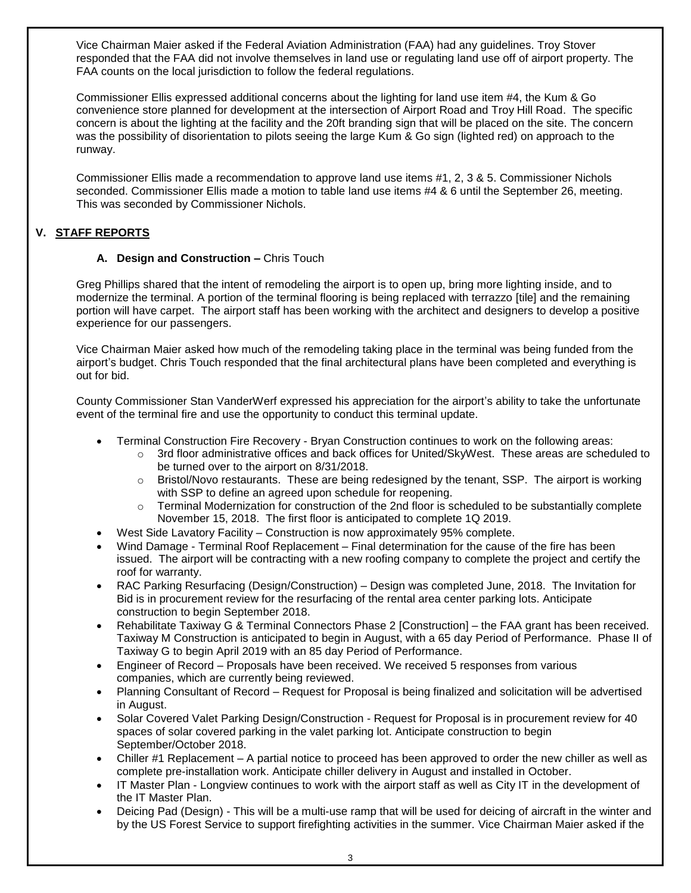Vice Chairman Maier asked if the Federal Aviation Administration (FAA) had any guidelines. Troy Stover responded that the FAA did not involve themselves in land use or regulating land use off of airport property. The FAA counts on the local jurisdiction to follow the federal regulations.

Commissioner Ellis expressed additional concerns about the lighting for land use item #4, the Kum & Go convenience store planned for development at the intersection of Airport Road and Troy Hill Road. The specific concern is about the lighting at the facility and the 20ft branding sign that will be placed on the site. The concern was the possibility of disorientation to pilots seeing the large Kum & Go sign (lighted red) on approach to the runway.

Commissioner Ellis made a recommendation to approve land use items #1, 2, 3 & 5. Commissioner Nichols seconded. Commissioner Ellis made a motion to table land use items #4 & 6 until the September 26, meeting. This was seconded by Commissioner Nichols.

# **V. STAFF REPORTS**

# **A. Design and Construction –** Chris Touch

Greg Phillips shared that the intent of remodeling the airport is to open up, bring more lighting inside, and to modernize the terminal. A portion of the terminal flooring is being replaced with terrazzo [tile] and the remaining portion will have carpet. The airport staff has been working with the architect and designers to develop a positive experience for our passengers.

Vice Chairman Maier asked how much of the remodeling taking place in the terminal was being funded from the airport's budget. Chris Touch responded that the final architectural plans have been completed and everything is out for bid.

County Commissioner Stan VanderWerf expressed his appreciation for the airport's ability to take the unfortunate event of the terminal fire and use the opportunity to conduct this terminal update.

- Terminal Construction Fire Recovery Bryan Construction continues to work on the following areas:
	- $\circ$  3rd floor administrative offices and back offices for United/SkyWest. These areas are scheduled to be turned over to the airport on 8/31/2018.
	- $\circ$  Bristol/Novo restaurants. These are being redesigned by the tenant, SSP. The airport is working with SSP to define an agreed upon schedule for reopening.
	- $\circ$  Terminal Modernization for construction of the 2nd floor is scheduled to be substantially complete November 15, 2018. The first floor is anticipated to complete 1Q 2019.
- West Side Lavatory Facility Construction is now approximately 95% complete.
- Wind Damage Terminal Roof Replacement Final determination for the cause of the fire has been issued. The airport will be contracting with a new roofing company to complete the project and certify the roof for warranty.
- RAC Parking Resurfacing (Design/Construction) Design was completed June, 2018. The Invitation for Bid is in procurement review for the resurfacing of the rental area center parking lots. Anticipate construction to begin September 2018.
- Rehabilitate Taxiway G & Terminal Connectors Phase 2 [Construction] the FAA grant has been received. Taxiway M Construction is anticipated to begin in August, with a 65 day Period of Performance. Phase II of Taxiway G to begin April 2019 with an 85 day Period of Performance.
- Engineer of Record Proposals have been received. We received 5 responses from various companies, which are currently being reviewed.
- Planning Consultant of Record Request for Proposal is being finalized and solicitation will be advertised in August.
- Solar Covered Valet Parking Design/Construction Request for Proposal is in procurement review for 40 spaces of solar covered parking in the valet parking lot. Anticipate construction to begin September/October 2018.
- Chiller #1 Replacement A partial notice to proceed has been approved to order the new chiller as well as complete pre-installation work. Anticipate chiller delivery in August and installed in October.
- IT Master Plan Longview continues to work with the airport staff as well as City IT in the development of the IT Master Plan.
- Deicing Pad (Design) This will be a multi-use ramp that will be used for deicing of aircraft in the winter and by the US Forest Service to support firefighting activities in the summer. Vice Chairman Maier asked if the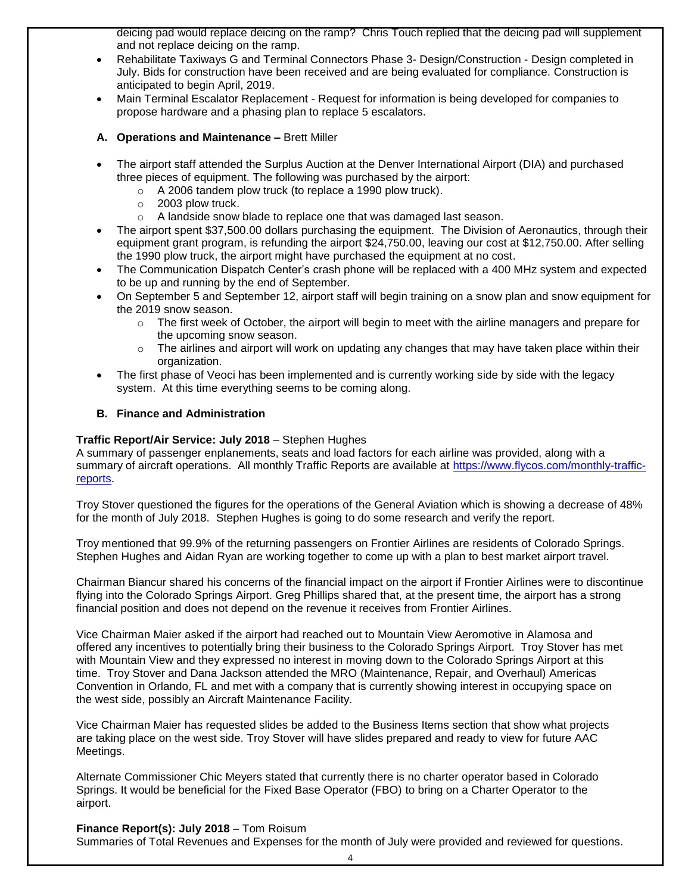deicing pad would replace deicing on the ramp? Chris Touch replied that the deicing pad will supplement and not replace deicing on the ramp.

- Rehabilitate Taxiways G and Terminal Connectors Phase 3- Design/Construction Design completed in July. Bids for construction have been received and are being evaluated for compliance. Construction is anticipated to begin April, 2019.
- Main Terminal Escalator Replacement Request for information is being developed for companies to propose hardware and a phasing plan to replace 5 escalators.
- **A. Operations and Maintenance –** Brett Miller
- The airport staff attended the Surplus Auction at the Denver International Airport (DIA) and purchased three pieces of equipment. The following was purchased by the airport:
	- o A 2006 tandem plow truck (to replace a 1990 plow truck).
	- o 2003 plow truck.
	- o A landside snow blade to replace one that was damaged last season.
- The airport spent \$37,500.00 dollars purchasing the equipment. The Division of Aeronautics, through their equipment grant program, is refunding the airport \$24,750.00, leaving our cost at \$12,750.00. After selling the 1990 plow truck, the airport might have purchased the equipment at no cost.
- The Communication Dispatch Center's crash phone will be replaced with a 400 MHz system and expected to be up and running by the end of September.
- On September 5 and September 12, airport staff will begin training on a snow plan and snow equipment for the 2019 snow season.
	- o The first week of October, the airport will begin to meet with the airline managers and prepare for the upcoming snow season.
	- $\circ$  The airlines and airport will work on updating any changes that may have taken place within their organization.
- The first phase of Veoci has been implemented and is currently working side by side with the legacy system. At this time everything seems to be coming along.

## **B. Finance and Administration**

## **Traffic Report/Air Service: July 2018** – Stephen Hughes

A summary of passenger enplanements, seats and load factors for each airline was provided, along with a summary of aircraft operations. All monthly Traffic Reports are available at [https://www.flycos.com/monthly-traffic](https://www.flycos.com/monthly-traffic-reports)[reports.](https://www.flycos.com/monthly-traffic-reports)

Troy Stover questioned the figures for the operations of the General Aviation which is showing a decrease of 48% for the month of July 2018. Stephen Hughes is going to do some research and verify the report.

Troy mentioned that 99.9% of the returning passengers on Frontier Airlines are residents of Colorado Springs. Stephen Hughes and Aidan Ryan are working together to come up with a plan to best market airport travel.

Chairman Biancur shared his concerns of the financial impact on the airport if Frontier Airlines were to discontinue flying into the Colorado Springs Airport. Greg Phillips shared that, at the present time, the airport has a strong financial position and does not depend on the revenue it receives from Frontier Airlines.

Vice Chairman Maier asked if the airport had reached out to Mountain View Aeromotive in Alamosa and offered any incentives to potentially bring their business to the Colorado Springs Airport. Troy Stover has met with Mountain View and they expressed no interest in moving down to the Colorado Springs Airport at this time. Troy Stover and Dana Jackson attended the MRO (Maintenance, Repair, and Overhaul) Americas Convention in Orlando, FL and met with a company that is currently showing interest in occupying space on the west side, possibly an Aircraft Maintenance Facility.

Vice Chairman Maier has requested slides be added to the Business Items section that show what projects are taking place on the west side. Troy Stover will have slides prepared and ready to view for future AAC Meetings.

Alternate Commissioner Chic Meyers stated that currently there is no charter operator based in Colorado Springs. It would be beneficial for the Fixed Base Operator (FBO) to bring on a Charter Operator to the airport.

# **Finance Report(s): July 2018** – Tom Roisum

Summaries of Total Revenues and Expenses for the month of July were provided and reviewed for questions.